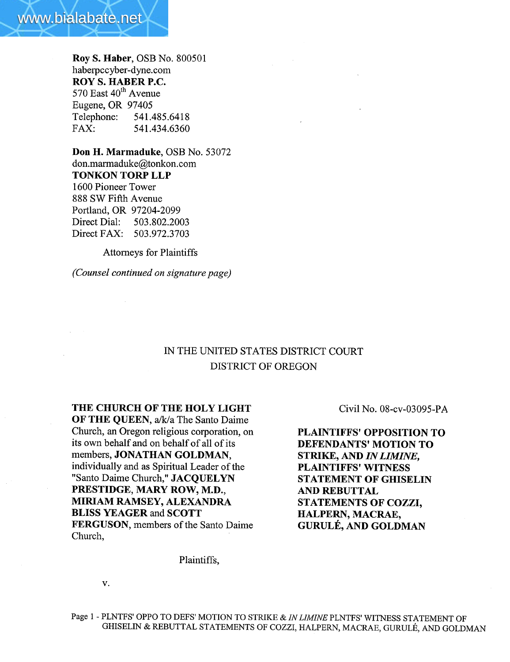

Roy S. Haber, OSB No. 800501 haberpccyber-dyne.com ROY S. HABER P.C. 570 East 40<sup>th</sup> Avenue Eugene, OR 97405 Telephone: 541.485.6418 FAX: 541.434.6360

Don H. Marmaduke, OSB No. 53072 don.marmaduke@tonkon.com TONKON TORP LLP 1600 Pioneer Tower 888 SW Fifth Avenue Portland, OR 97204-2099 Direct Dial: 503.802.2003 Direct FAX: 503.972.3703

Attorneys for Plaintiffs

(Counsel continued on signature page)

## IN THE UNITED STATES DISTRICT COURT DISTRICT OF OREGON

THE CHURCH OF THE HOLY LIGHT

OF THE QUEEN, a/k/a The Santo Daime Church, an Oregon religious corporation, on its own behalf and on behalf of all of its members, JONATHAN GOLDMAN, individually and as Spiritual Leader of the "Santo Daime Church," JACQUELYN PRESTIDGE, MARY ROW, M.D., MIRIAM RAMSEY, ALEXADRA BLISS YEAGER and SCOTT FERGUSON, members of the Santo Daime Church,

Civil No. 08-cv-03095-PA

PLAINTIFFS' OPPOSITION TO DEFENDANTS' MOTION TO STRIKE, AND IN LIMINE, PLAINTIFFS' WITNESS STATEMENT OF GHISELIN AND REBUTTAL STATEMENTS OF COZZI, HALPERN, MACRAE, GURULÉ, AND GOLDMAN

Plaintiffs,

v.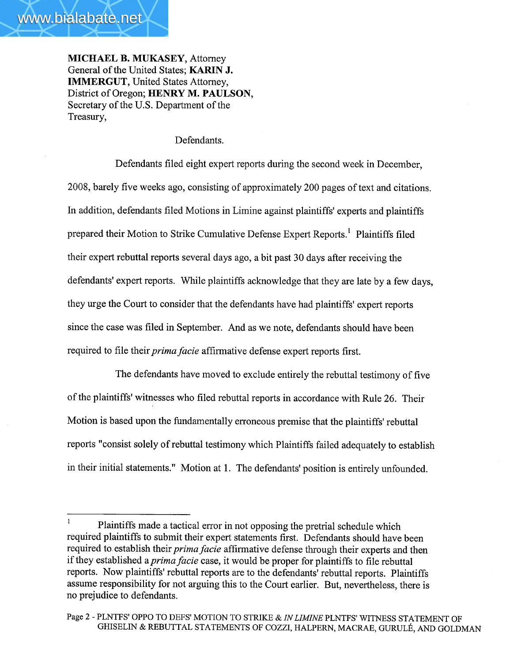MICHAEL B. MUKASEY, Attorney General of the United States; KARIN J. IMMERGUT, United States Attorney, District of Oregon; HENRY M. PAULSON, Secretary of the U.S. Department of the Treasury,

## Defendants.

Defendants filed eight expert reports during the second week in December, 2008, barely five weeks ago, consisting of approximately 200 pages of text and citations. In addition, defendants fied Motions in Limine against plaintiffs' experts and plaintiffs prepared their Motion to Strike Cumulative Defense Expert Reports.<sup>1</sup> Plaintiffs filed their expert rebuttal reports several days ago, a bit past 30 days after receiving the defendants' expert reports. While plaintiffs acknowledge that they are late by a few days, they urge the Court to consider that the defendants have had plaintiffs' expert reports since the case was filed in September. And as we note, defendants should have been required to file their *prima facie* affirmative defense expert reports first.

The defendants have moved to exclude entirely the rebuttal testimony of five of the plaintiffs' witnesses who fied rebuttal reports in accordance with Rule 26. Their Motion is based upon the fundamentally erroneous premise that the plaintiffs' rebuttal reports "consist solely of rebuttal testimony which Plaintiffs failed adequately to establish in their initial statements." Motion at 1. The defendants' position is entirely unfounded.

 $\mathbf{1}$ Plaintiffs made a tactical error in not opposing the pretrial schedule which required plaintiffs to submit their expert statements first. Defendants should have been required to establish their *prima facie* affirmative defense through their experts and then if they established a *prima facie* case, it would be proper for plaintiffs to file rebuttal reports. Now plaintiffs' rebuttal reports are to the defendants' rebuttal reports. Plaintiffs assume responsibility for not arguing this to the Court earlier. But, nevertheless, there is no prejudice to defendants.

Page 2 - PLNTFS' OPPO TO DEFS' MOTION TO STRIKE & IN LIMINE PLNTFS' WITNESS STATEMENT OF GHISELIN & REBUTTAL STATEMENTS OF COZZI, HALPERN, MACRAE, GURULÉ, AND GOLDMAN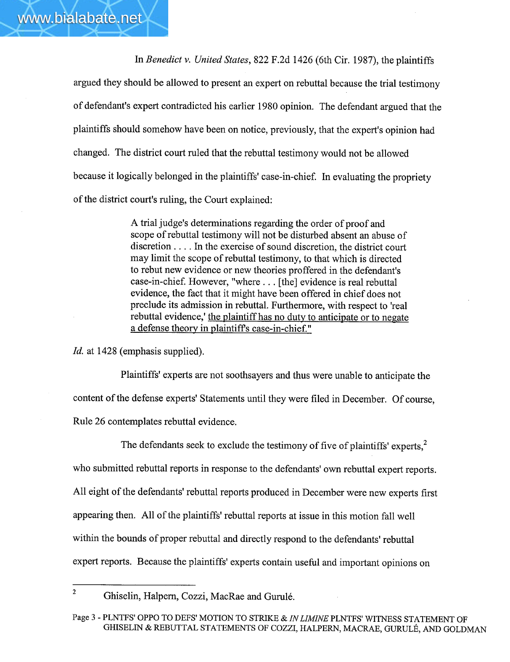In Benedict v. United States, 822 F.2d 1426 (6th Cir. 1987), the plaintiffs

argued they should be allowed to present an expert on rebuttal because the trial testimony of defendant's expert contradicted his earlier 1980 opinion. The defendant argued that the plaintiffs should somehow have been on notice, previously, that the expert's opinion had changed. The district court ruled that the rebuttal testimony would not be allowed because it logically belonged in the plaintiffs' case-in-chief. In evaluating the propriety of the district court's ruling, the Court explained:

> A trial judge's determinations regarding the order of proof and scope of rebuttal testimony will not be disturbed absent an abuse of discretion. . . . In the exercise of sound discretion, the district court may limit the scope of rebuttal testimony, to that which is directed to rebut new evidence or new theories proffered in the defendant's case-in-chief. However, "where. . . (the) evidence is real rebuttal evidence, the fact that it might have been offered in chief does not preclude its admission in rebuttal. Furthermore, with respect to 'real rebuttal evidence,' the plaintiff has no duty to anticipate or to negate a defense theory in plaintiffs case-in-chief. "

Id. at 1428 (emphasis supplied).

Plaintiffs' experts are not soothsayers and thus were unable to anticipate the content of the defense experts' Statements until they were filed in December. Of course, Rule 26 contemplates rebuttal evidence.

The defendants seek to exclude the testimony of five of plaintiffs' experts, $<sup>2</sup>$ </sup> who submitted rebuttal reports in response to the defendants' own rebuttal expert reports. All eight of the defendants' rebuttal reports produced in December were new experts first appearing then. All of the plaintiffs' rebuttal reports at issue in this motion fall well within the bounds of proper rebuttal and directly respond to the defendants' rebuttal expert reports. Because the plaintiffs' experts contain useful and important opinions on

<sup>2</sup> Ghiselin, Halpern, Cozzi, MacRae and Gurulé.

Page 3 - PLNTFS' OPPO TO DEFS' MOTION TO STRIKE & IN LIMINE PLNTFS' WITNESS STATEMENT OF GHISELIN & REBUTTAL STATEMENTS OF COZZI, HALPERN, MACRAE, GURULÉ, AND GOLDMAN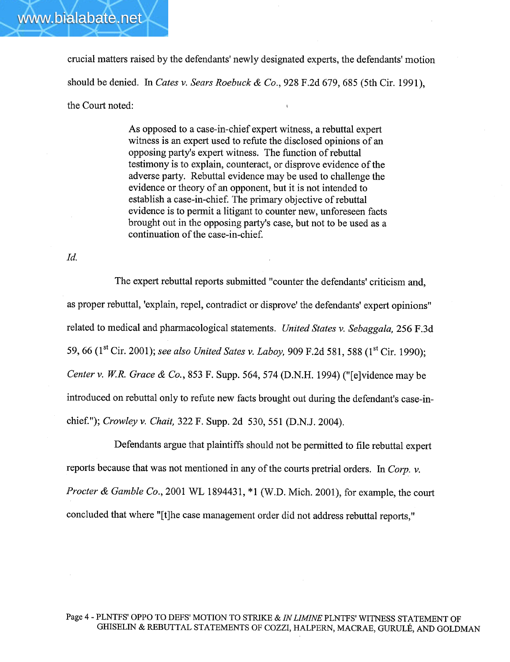

As opposed to a case-in-chief expert witness, a rebuttal expert witness is an expert used to refute the disclosed opinions of an opposing party's expert witness. The function of rebuttal testimony is to explain, counteract, or disprove evidence of the adverse pary. Rebuttal evidence may be used to challenge the evidence or theory of an opponent, but it is not intended to establish a case-in-chief. The primary objective of rebuttal evidence is to permit a litigant to counter new, unforeseen facts brought out in the opposing party's case, but not to be used as a continuation of the case-in-chief.

Id.

www.bialabate.net

The expert rebuttal reports submitted "counter the defendants' criticism and, as proper rebuttal, 'explain, repel, contradict or disprove' the defendants' expert opinions" related to medical and pharmacological statements. United States v. Sebaggala, 256 F.3d 59, 66 (1<sup>st</sup> Cir. 2001); see also United Sates v. Laboy, 909 F.2d 581, 588 (1<sup>st</sup> Cir. 1990); Center v. W.R. Grace & Co., 853 F. Supp. 564, 574 (D.N.H. 1994) ("[e]vidence may be introduced on rebuttal only to refute new facts brought out during the defendant's case-inchief."); Crowley v. Chait, 322 F. Supp. 2d 530,551 (D.N.J. 2004).

Defendants argue that plaintiffs should not be permitted to file rebuttal expert reports because that was not mentioned in any of the courts pretrial orders. In Corp. v. *Procter & Gamble Co.*, 2001 WL 1894431,  $*1$  (W.D. Mich. 2001), for example, the court concluded that where "(t)he case management order did not address rebuttal reports,"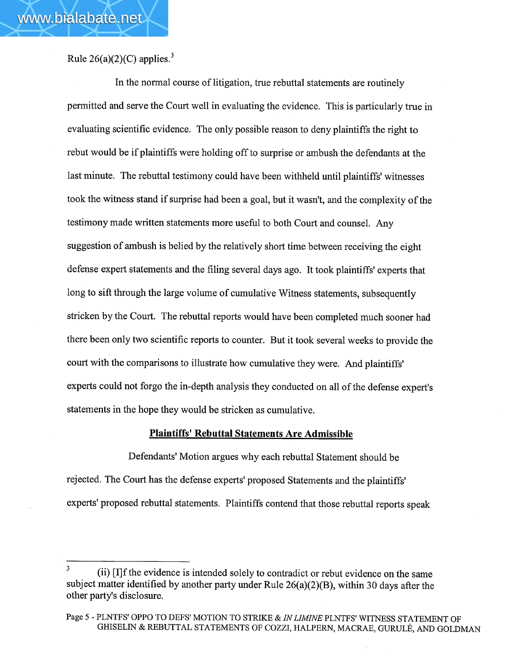Rule  $26(a)(2)(C)$  applies.<sup>3</sup>

In the normal course of litigation, true rebuttal statements are routinely permitted and serve the Court well in evaluating the evidence. This is particularly true in evaluating scientific evidence. The only possible reason to deny plaintiffs the right to rebut would be if plaintiffs were holding off to surprise or ambush the defendants at the last minute. The rebuttal testimony could have been withheld until plaintiffs' witnesses took the witness stand if surprise had been a goal, but it wasn't, and the complexity of the testimony made written statements more useful to both Court and counseL. Any suggestion of ambush is belied by the relatively short time between receiving the eight defense expert statements and the filing several days ago. It took plaintiffs' experts that long to sift through the large volume of cumulative Witness statements, subsequently stricken by the Court. The rebuttal reports would have been completed much sooner had there been only two scientific reports to counter. But it took several weeks to provide the court with the comparisons to ilustrate how cumulative they were. And plaintiffs' experts could not forgo the in-depth analysis they conducted on all of the defense expert's statements in the hope they would be stricken as cumulative.

## Plaintiffs' Rebuttal Statements Are Admissible

Defendants' Motion argues why each rebuttal Statement should be rejected. The Court has the defense experts' proposed Statements and the plaintiffs' experts' proposed rebuttal statements. Plaintiffs contend that those rebuttal reports speak

<sup>3</sup> (ii) [I]f the evidence is intended solely to contradict or rebut evidence on the same subject matter identified by another party under Rule 26(a)(2)(B), within 30 days after the other party's disclosure.

Page 5 - PLNTFS' OPPO TO DEFS' MOTION TO STRIKE & IN LIMINE PLNTFS' WITNESS STATEMENT OF GHISELIN & REBUTTAL STATEMENTS OF COZZI, HALPERN, MACRAE, GURULÉ, AND GOLDMAN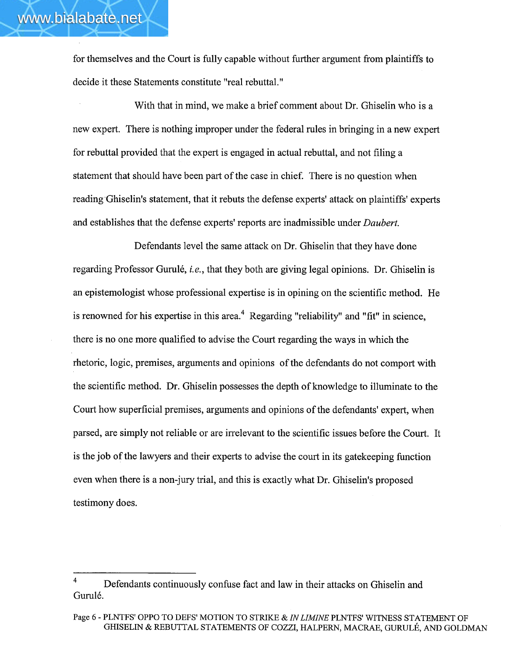for themselves and the Court is fully capable without further argument from plaintiffs to decide it these Statements constitute "real rebuttaL."

With that in mind, we make a brief comment about Dr. Ghiselin who is a new expert. There is nothing improper under the federal rules in bringing in a new expert for rebuttal provided that the expert is engaged in actual rebuttal, and not fiing a statement that should have been part of the case in chief. There is no question when reading'Ghiselin's statement, that it rebuts the defense experts' attack on plaintiffs' experts and establishes that the defense experts' reports are inadmissible under Daubert.

Defendants level the same attack on Dr. Ghiselin that they have done regarding Professor Gurulé, i.e., that they both are giving legal opinions. Dr. Ghiselin is an epistemologist whose professional expertise is in opining on the scientific method. He is renowned for his expertise in this area.<sup>4</sup> Regarding "reliability" and "fit" in science, there is no one more qualified to advise the Court regarding the ways in which the rhetoric, logic, premises, arguments and opinions of the defendants do not comport with the scientific method. Dr. Ghiselin possesses the depth of knowledge to iluminate to the Court how superficial premises, arguments and opinions of the defendants' expert, when parsed, are simply not reliable or are irrelevant to the scientific issues before the Court. It is the job of the lawyers and their experts to advise the court in its gatekeeping function even when there is a non-jury trial, and this is exactly what Dr. Ghiselin's proposed testimony does.

Defendants continuously confuse fact and law in their attacks on Ghiselin and Gurulé.

Page 6 - PLNTFS' OPPO TO DEFS' MOTION TO STRIKE & IN LIMINE PLNTFS' WITNESS STATEMENT OF GHISELIN & REBUTTAL STATEMENTS OF COZZI, HALPERN, MACRAE, GURULÉ, AND GOLDMAN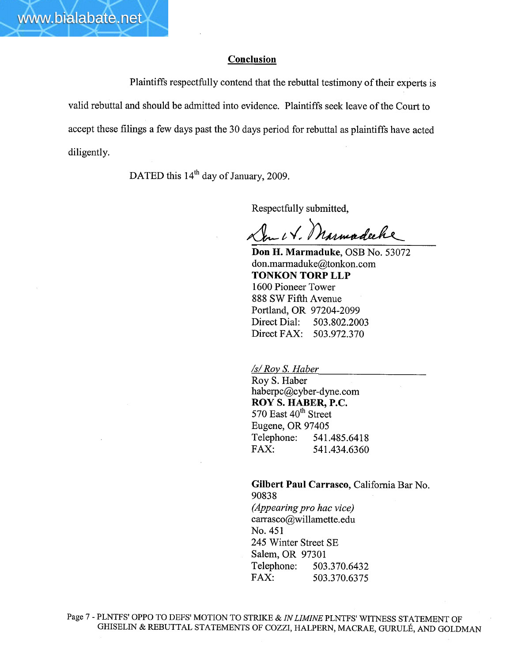Plaintiffs respectfully contend that the rebuttal testimony of their experts is valid rebuttal and should be admitted into evidence. Plaintiffs seek leave of the Court to accept these filings a few days past the 30 days period for rebuttal as plaintiffs have acted diligently.

DATED this 14<sup>th</sup> day of January, 2009.

www.bialabate.net

Respectfully submitted,<br>Lew U. Marmaduke, OSB No. 53072

don.marmaduke@tonkon.com TONKON TORP LLP 1600 Pioneer Tower 888 SW Fifth Avenue Portland, OR 97204-2099 Direct Dial: 503.802.2003 Direct FAX: 503.972.370

**<u>/s/ Roy S. Haber</u>** 

Roy S. Haber haberpc@cyber-dyne.com ROY S. HABER, P.C. 570 East 40<sup>th</sup> Street Eugene, OR 97405 Telephone: 541.485.6418 FAX: 541.434.6360

Gilbert Paul Carrasco, California Bar No. 90838 (Appearing pro hac vice) carrasco@willamette.edu No. 451 245 Winter Street SE Salem, OR 97301

Telephone: 503.370.6432 FAX: 503.370.6375

Page 7 - PLNTFS' OPPO TO DEFS' MOTION TO STRIKE & IN LIMINE PLNTFS' WITNESS STATEMENT OF GHISELIN & REBUTTAL STATEMENTS OF COZZI, HALPERN, MACRAE, GURULÉ, AND GOLDMAN